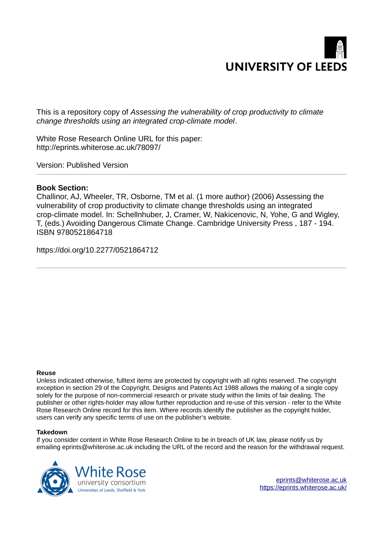

This is a repository copy of *Assessing the vulnerability of crop productivity to climate change thresholds using an integrated crop-climate model*.

White Rose Research Online URL for this paper: http://eprints.whiterose.ac.uk/78097/

Version: Published Version

## **Book Section:**

Challinor, AJ, Wheeler, TR, Osborne, TM et al. (1 more author) (2006) Assessing the vulnerability of crop productivity to climate change thresholds using an integrated crop-climate model. In: Schellnhuber, J, Cramer, W, Nakicenovic, N, Yohe, G and Wigley, T, (eds.) Avoiding Dangerous Climate Change. Cambridge University Press , 187 - 194. ISBN 9780521864718

https://doi.org/10.2277/0521864712

## **Reuse**

Unless indicated otherwise, fulltext items are protected by copyright with all rights reserved. The copyright exception in section 29 of the Copyright, Designs and Patents Act 1988 allows the making of a single copy solely for the purpose of non-commercial research or private study within the limits of fair dealing. The publisher or other rights-holder may allow further reproduction and re-use of this version - refer to the White Rose Research Online record for this item. Where records identify the publisher as the copyright holder, users can verify any specific terms of use on the publisher's website.

## **Takedown**

If you consider content in White Rose Research Online to be in breach of UK law, please notify us by emailing eprints@whiterose.ac.uk including the URL of the record and the reason for the withdrawal request.

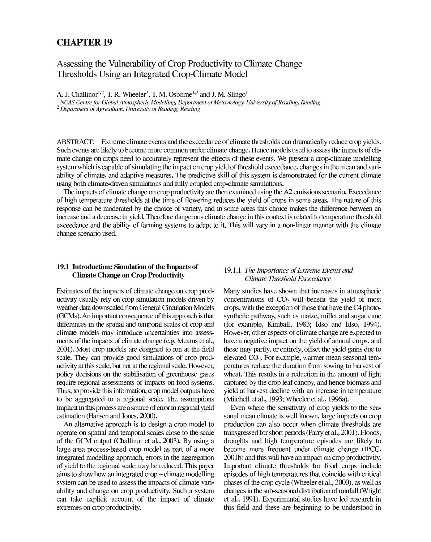## **CHAPTER 19**

# Assessing the Vulnerability of Crop Productivity to Climate Change Thresholds Using an Integrated Crop-Climate Model

A. J. Challinor<sup>1,2</sup>, T. R. Wheeler<sup>2</sup>, T. M. Osborne<sup>1,2</sup> and J. M. Slingo<sup>1</sup>

<sup>1</sup> NCAS Centre for Global Atmospheric Modelling, Department of Meteorology, University of Reading, Reading <sup>2</sup> Department of Agriculture, University of Reading, Reading

ABSTRACT: Extreme climate events and the exceedance of climate thresholds can dramatically reduce crop yields. Such events are likely to become more common under climate change. Hence models used to assess the impacts of climate change on crops need to accurately represent the effects of these events. We present a crop-climate modelling system which is capable of simulating the impact on crop yield of threshold exceedance, changes in the mean and variability of climate, and adaptive measures. The predictive skill of this system is demonstrated for the current climate using both climate-driven simulations and fully coupled crop-climate simulations.

The impacts of climate change on crop productivity are then examined using the A2 emissions scenario. Exceedance of high temperature thresholds at the time of flowering reduces the yield of crops in some areas. The nature of this response can be moderated by the choice of variety, and in some areas this choice makes the difference between an increase and a decrease in yield. Therefore dangerous climate change in this context is related to temperature threshold exceedance and the ability of farming systems to adapt to it. This will vary in a non-linear manner with the climate change scenario used.

## 19.1 Introduction: Simulation of the Impacts of **Climate Change on Crop Productivity**

Estimates of the impacts of climate change on crop productivity usually rely on crop simulation models driven by weather data downscaled from General Circulation Models (GCMs). An important consequence of this approach is that differences in the spatial and temporal scales of crop and climate models may introduce uncertainties into assessments of the impacts of climate change (e.g. Mearns et al., 2001). Most crop models are designed to run at the field scale. They can provide good simulations of crop productivity at this scale, but not at the regional scale. However, policy decisions on the stabilisation of greenhouse gases require regional assessments of impacts on food systems. Thus, to provide this information, crop model outputs have to be aggregated to a regional scale. The assumptions implicit in this process are a source of error in regional yield estimation (Hansen and Jones, 2000).

An alternative approach is to design a crop model to operate on spatial and temporal scales close to the scale of the GCM output (Challinor et al., 2003). By using a large area process-based crop model as part of a more integrated modelling approach, errors in the aggregation of yield to the regional scale may be reduced. This paper aims to show how an integrated crop – climate modelling system can be used to assess the impacts of climate variability and change on crop productivity. Such a system can take explicit account of the impact of climate extremes on crop productivity.

## 19.1.1 The Importance of Extreme Events and Climate Threshold Exceedance

Many studies have shown that increases in atmospheric concentrations of  $CO<sub>2</sub>$  will benefit the yield of most crops, with the exception of those that have the C4 photosynthetic pathway, such as maize, millet and sugar cane (for example, Kimball, 1983; Idso and Idso, 1994). However, other aspects of climate change are expected to have a negative impact on the yield of annual crops, and these may partly, or entirely, offset the yield gains due to elevated CO<sub>2</sub>. For example, warmer mean seasonal temperatures reduce the duration from sowing to harvest of wheat. This results in a reduction in the amount of light captured by the crop leaf canopy, and hence biomass and yield at harvest decline with an increase in temperature (Mitchell et al., 1993; Wheeler et al., 1996a).

Even where the sensitivity of crop yields to the seasonal mean climate is well known, large impacts on crop production can also occur when climate thresholds are transgressed for short periods (Parry et al., 2001). Floods, droughts and high temperature episodes are likely to become more frequent under climate change (IPCC, 2001b) and this will have an impact on crop productivity. Important climate thresholds for food crops include episodes of high temperatures that coincide with critical phases of the crop cycle (Wheeler et al., 2000), as well as changes in the sub-seasonal distribution of rainfall (Wright) et al., 1991). Experimental studies have led research in this field and these are beginning to be understood in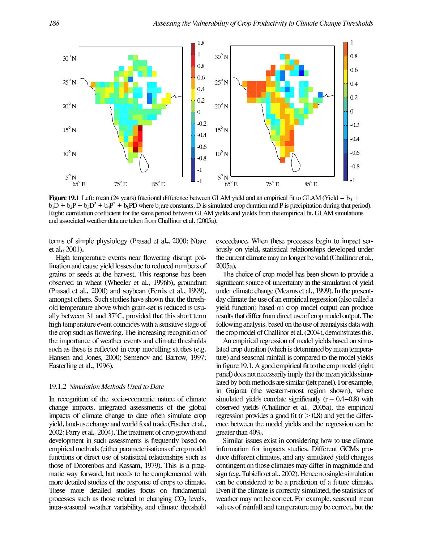

Figure 19.1 Left: mean (24 years) fractional difference between GLAM yield and an empirical fit to GLAM (Yield =  $b_0$  +  $b_1D + b_2P + b_3D^2 + b_4P^2 + b_6PD$  where  $b_i$  are constants, D is simulated crop duration and P is precipitation during that period). Right: correlation coefficient for the same period between GLAM yields and yields from the empirical fit. GLAM simulations and associated weather data are taken from Challinor et al. (2005a).

terms of simple physiology (Prasad et al., 2000; Ntare et al., 2001).

High temperature events near flowering disrupt pollination and cause yield losses due to reduced numbers of grains or seeds at the harvest. This response has been observed in wheat (Wheeler et al., 1996b), groundnut (Prasad et al., 2000) and soybean (Ferris et al., 1999), amongst others. Such studies have shown that the threshold temperature above which grain-set is reduced is usually between 31 and 37°C, provided that this short term high temperature event coincides with a sensitive stage of the crop such as flowering. The increasing recognition of the importance of weather events and climate thresholds such as these is reflected in crop modelling studies (e.g. Hansen and Jones, 2000; Semenov and Barrow, 1997; Easterling et al., 1996).

#### 19.1.2 Simulation Methods Used to Date

In recognition of the socio-economic nature of climate change impacts, integrated assessments of the global impacts of climate change to date often simulate crop yield, land-use change and world food trade (Fischer et al., 2002; Parry et al., 2004). The treatment of crop growth and development in such assessments is frequently based on empirical methods (either parameterisations of crop model functions or direct use of statistical relationships such as those of Doorenbos and Kassam, 1979). This is a pragmatic way forward, but needs to be complemented with more detailed studies of the response of crops to climate. These more detailed studies focus on fundamental processes such as those related to changing CO<sub>2</sub> levels, intra-seasonal weather variability, and climate threshold exceedance. When these processes begin to impact serjously on yield, statistical relationships developed under the current climate may no longer be valid (Challinor et al., 2005a).

The choice of crop model has been shown to provide a significant source of uncertainty in the simulation of yield under climate change (Mearns et al., 1999). In the presentday climate the use of an empirical regression (also called a yield function) based on crop model output can produce results that differ from direct use of crop model output. The following analysis, based on the use of reanalysis data with the crop model of Challinor et al. (2004), demonstrates this.

An empirical regression of model yields based on simulated crop duration (which is determined by mean temperature) and seasonal rainfall is compared to the model yields in figure 19.1. A good empirical fit to the crop model (right panel) does not necessarily imply that the mean yields simulated by both methods are similar (left panel). For example, in Guiarat (the western-most region shown), where simulated yields correlate significantly  $(r = 0.4 - 0.8)$  with observed yields (Challinor et al., 2005a), the empirical regression provides a good fit  $(r > 0.8)$  and vet the difference between the model yields and the regression can be greater than 40%.

Similar issues exist in considering how to use climate information for impacts studies. Different GCMs produce different climates, and any simulated yield changes contingent on those climates may differ in magnitude and sign (e.g. Tubiello et al., 2002). Hence no single simulation can be considered to be a prediction of a future climate. Even if the climate is correctly simulated, the statistics of weather may not be correct. For example, seasonal mean values of rainfall and temperature may be correct, but the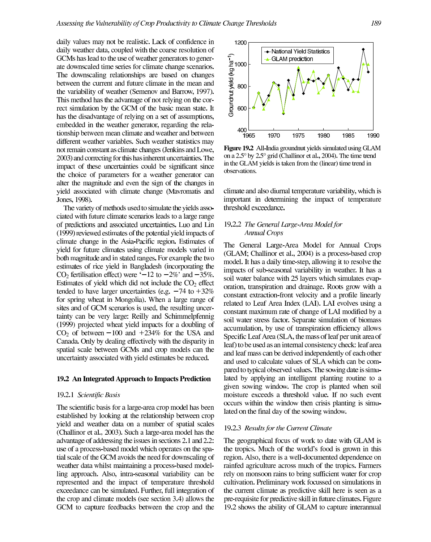daily values may not be realistic. Lack of confidence in daily weather data, coupled with the coarse resolution of GCMs has lead to the use of weather generators to generate downscaled time series for climate change scenarios. The downscaling relationships are based on changes between the current and future climate in the mean and the variability of weather (Semenov and Barrow, 1997). This method has the advantage of not relying on the correct simulation by the GCM of the basic mean state. It has the disadvantage of relying on a set of assumptions, embedded in the weather generator, regarding the relationship between mean climate and weather and between different weather variables. Such weather statistics may not remain constant as climate changes (Jenkins and Lowe, 2003) and correcting for this has inherent uncertainties. The impact of these uncertainties could be significant since the choice of parameters for a weather generator can alter the magnitude and even the sign of the changes in yield associated with climate change (Mayromatis and Jones, 1998).

The variety of methods used to simulate the yields associated with future climate scenarios leads to a large range of predictions and associated uncertainties. Luo and Lin (1999) reviewed estimates of the potential yield impacts of climate change in the Asia-Pacific region. Estimates of yield for future climates using climate models varied in both magnitude and in stated ranges. For example the two estimates of rice yield in Bangladesh (incorporating the CO<sub>2</sub> fertilisation effect) were ' $-12$  to  $-2\%$ ' and  $-35\%$ . Estimates of yield which did not include the  $CO<sub>2</sub>$  effect tended to have larger uncertainties (e.g.  $-74$  to  $+32\%$ for spring wheat in Mongolia). When a large range of sites and of GCM scenarios is used, the resulting uncertainty can be very large: Reilly and Schimmelpfennig (1999) projected wheat yield impacts for a doubling of  $CO<sub>2</sub>$  of between  $-100$  and  $+234\%$  for the USA and Canada. Only by dealing effectively with the disparity in spatial scale between GCMs and crop models can the uncertainty associated with yield estimates be reduced.

#### 19.2 An Integrated Approach to Impacts Prediction

#### 19.2.1 Scientific Basis

The scientific basis for a large-area crop model has been established by looking at the relationship between crop yield and weather data on a number of spatial scales (Challinor et al., 2003). Such a large-area model has the advantage of addressing the issues in sections 2.1 and 2.2: use of a process-based model which operates on the spatial scale of the GCM avoids the need for downscaling of weather data whilst maintaining a process-based modelling approach. Also, intra-seasonal variability can be represented and the impact of temperature threshold exceedance can be simulated. Further, full integration of the crop and climate models (see section 3.4) allows the GCM to capture feedbacks between the crop and the



Figure 19.2 All-India groundnut yields simulated using GLAM on a  $2.5^{\circ}$  by  $2.5^{\circ}$  grid (Challinor et al., 2004). The time trend in the GLAM yields is taken from the (linear) time trend in observations.

climate and also diurnal temperature variability, which is important in determining the impact of temperature threshold exceedance.

## 19.2.2 The General Large-Area Model for **Annual Crops**

The General Large-Area Model for Annual Crops (GLAM; Challinor et al., 2004) is a process-based crop model. It has a daily time-step, allowing it to resolve the impacts of sub-seasonal variability in weather. It has a soil water balance with 25 layers which simulates evaporation, transpiration and drainage. Roots grow with a constant extraction-front velocity and a profile linearly related to Leaf Area Index (LAI). LAI evolves using a constant maximum rate of change of LAI modified by a soil water stress factor. Separate simulation of biomass accumulation, by use of transpiration efficiency allows Specific Leaf Area (SLA, the mass of leaf per unit area of leaf) to be used as an internal consistency check: leaf area and leaf mass can be derived independently of each other and used to calculate values of SLA which can be compared to typical observed values. The sowing date is simulated by applying an intelligent planting routine to a given sowing window. The crop is planted when soil moisture exceeds a threshold value. If no such event occurs within the window then crisis planting is simulated on the final day of the sowing window.

## 19.2.3 Results for the Current Climate

The geographical focus of work to date with GLAM is the tropics. Much of the world's food is grown in this region. Also, there is a well-documented dependence on rainfed agriculture across much of the tropics. Farmers rely on monsoon rains to bring sufficient water for crop cultivation. Preliminary work focussed on simulations in the current climate as predictive skill here is seen as a pre-requisite for predictive skill in future climates. Figure 19.2 shows the ability of GLAM to capture interannual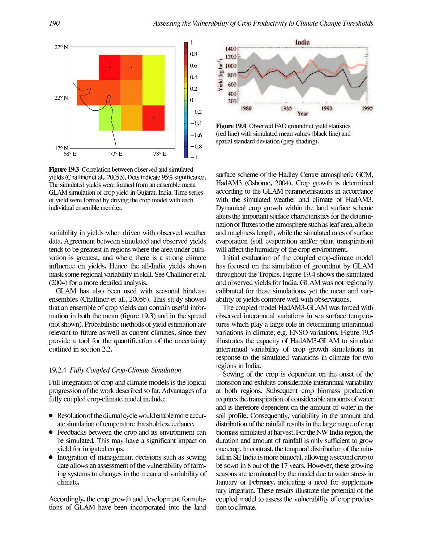

Figure 19.3 Correlation between observed and simulated yields (Challinor et al., 2005b). Dots indicate 95% significance. The simulated yields were formed from an ensemble mean GLAM simulation of crop yield in Gujarat, India. Time series of yield were formed by driving the crop model with each individual ensemble member.

variability in yields when driven with observed weather data. Agreement between simulated and observed yields tends to be greatest in regions where the area under cultivation is greatest, and where there is a strong climate influence on yields. Hence the all-India yields shown mask some regional variability in skill. See Challinor et al. (2004) for a more detailed analysis.

GLAM has also been used with seasonal hindcast ensembles (Challinor et al., 2005b). This study showed that an ensemble of crop yields can contain useful information in both the mean (figure 19.3) and in the spread (not shown). Probabilistic methods of yield estimation are relevant to future as well as current climates, since they provide a tool for the quantification of the uncertainty outlined in section 2.2.

## 19.2.4 Fully Coupled Crop-Climate Simulation

Full integration of crop and climate models is the logical progression of the work described so far. Advantages of a fully coupled crop-climate model include:

- Resolution of the diurnal cycle would enable more accurate simulation of temperature threshold exceedance.
- Feedbacks between the crop and its environment can be simulated. This may have a significant impact on yield for irrigated crops.
- Integration of management decisions such as sowing date allows an assessment of the vulnerability of farming systems to changes in the mean and variability of climate.

Accordingly, the crop growth and development formulations of GLAM have been incorporated into the land



Figure 19.4 Observed FAO ground nut yield statistics (red line) with simulated mean values (black line) and spatial standard deviation (grey shading).

surface scheme of the Hadley Centre atmospheric GCM, HadAM3 (Osborne, 2004). Crop growth is determined according to the GLAM parameterisations in accordance with the simulated weather and climate of HadAM3. Dynamical crop growth within the land surface scheme alters the important surface characteristics for the determination of fluxes to the atmosphere such as leaf area, albedo and roughness length, while the simulated rates of surface evaporation (soil evaporation and/or plant transpiration) will affect the humidity of the crop environment.

Initial evaluation of the coupled crop-climate model has focused on the simulation of groundnut by GLAM throughout the Tropics. Figure 19.4 shows the simulated and observed yields for India. GLAM was not regionally calibrated for these simulations, yet the mean and variability of yields compare well with observations.

The coupled model HadAM3-GLAM was forced with observed interannual variations in sea surface temperatures which play a large role in determining interannual variations in climate; e.g. ENSO variations. Figure 19.5 illustrates the capacity of HadAM3-GLAM to simulate interannual variability of crop growth simulations in response to the simulated variations in climate for two regions in India.

Sowing of the crop is dependent on the onset of the monsoon and exhibits considerable interannual variability at both regions. Subsequent crop biomass production requires the transpiration of considerable amounts of water and is therefore dependent on the amount of water in the soil profile. Consequently, variability in the amount and distribution of the rainfall results in the large range of crop biomass simulated at harvest. For the NW India region, the duration and amount of rainfall is only sufficient to grow one crop. In contrast, the temporal distribution of the rainfall in SE India is more bimodal, allowing a second crop to be sown in 8 out of the 17 years. However, these growing seasons are terminated by the model due to water stress in January or February, indicating a need for supplementary irrigation. These results illustrate the potential of the coupled model to assess the vulnerability of crop production to climate.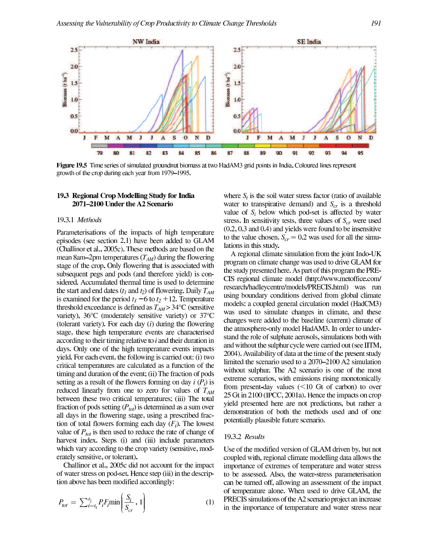

Figure 19.5 Time series of simulated groundnut biomass at two HadAM3 grid points in India. Coloured lines represent growth of the crop during each year from 1979–1995.

### 19.3 Regional Crop Modelling Study for India 2071-2100 Under the A2 Scenario

#### 19.3.1 Methods

Parameterisations of the impacts of high temperature episodes (see section 2.1) have been added to GLAM (Challinor et al., 2005c). These methods are based on the mean 8am-2pm temperatures  $(T_{AM})$  during the flowering stage of the crop. Only flowering that is associated with subsequent pegs and pods (and therefore yield) is considered. Accumulated thermal time is used to determine the start and end dates  $(t_1$  and  $t_2$ ) of flowering. Daily  $T_{AM}$ is examined for the period  $t_1$  –6 to  $t_2$  +12. Temperature threshold exceedance is defined as  $T_{AM} > 34$ °C (sensitive variety),  $36^{\circ}$ C (moderately sensitive variety) or  $37^{\circ}$ C (tolerant variety). For each day  $(i)$  during the flowering stage, these high temperature events are characterised according to their timing relative to  $i$  and their duration in days. Only one of the high temperature events impacts yield. For each event, the following is carried out: (i) two critical temperatures are calculated as a function of the timing and duration of the event; (ii) The fraction of pods setting as a result of the flowers forming on day  $i(P_i)$  is reduced linearly from one to zero for values of  $T_{AM}$ between these two critical temperatures; (iii) The total fraction of pods setting  $(P_{tot})$  is determined as a sum over all days in the flowering stage, using a prescribed fraction of total flowers forming each day  $(F_i)$ . The lowest value of  $P_{tot}$  is then used to reduce the rate of change of harvest index. Steps (i) and (iii) include parameters which vary according to the crop variety (sensitive, moderately sensitive, or tolerant).

Challinor et al., 2005c did not account for the impact of water stress on pod-set. Hence step (iii) in the description above has been modified accordingly:

$$
P_{tot} = \sum_{i=t_1}^{t_2} P_i F_i \min\left(\frac{S_i}{S_{cr}}, 1\right) \tag{1}
$$

where  $S_i$  is the soil water stress factor (ratio of available water to transpirative demand) and  $S_{cr}$  is a threshold value of  $S_i$  below which pod-set is affected by water stress. In sensitivity tests, three values of  $S_{cr}$  were used  $(0.2, 0.3, 0.4)$  and yields were found to be insensitive to the value chosen.  $S_{cr} = 0.2$  was used for all the simulations in this study.

A regional climate simulation from the joint Indo UK program on climate change was used to drive GLAM for the study presented here. As part of this program the PRE-CIS regional climate model (http://www.metoffice.com/ research/hadleycentre/models/PRECIS.html) was run using boundary conditions derived from global climate models: a coupled general circulation model (HadCM3) was used to simulate changes in climate, and these changes were added to the baseline (current) climate of the atmosphere-only model HadAM3. In order to understand the role of sulphate aerosols, simulations both with and without the sulphur cycle were carried out (see IITM, 2004). Availability of data at the time of the present study limited the scenario used to a 2070-2100 A2 simulation without sulphur. The A2 scenario is one of the most extreme scenarios, with emissions rising monotonically from present-day values  $(<10$  Gt of carbon) to over 25 Gt in 2100 (IPCC, 2001a). Hence the impacts on crop yield presented here are not predictions, but rather a demonstration of both the methods used and of one potentially plausible future scenario.

#### 19.3.2 Results

Use of the modified version of GLAM driven by, but not coupled with, regional climate modelling data allows the importance of extremes of temperature and water stress to be assessed. Also, the water-stress parameterisation can be turned off, allowing an assessment of the impact of temperature alone. When used to drive GLAM, the PRECIS simulations of the A2 scenario project an increase in the importance of temperature and water stress near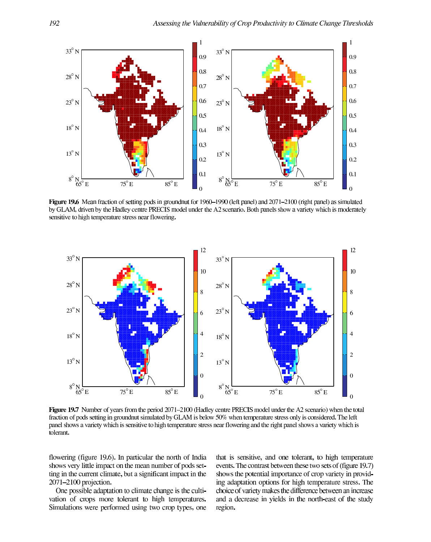

Figure 19.6 Mean fraction of setting pods in groundnut for 1960–1990 (left panel) and 2071–2100 (right panel) as simulated by GLAM, driven by the Hadley centre PRECIS model under the A2 scenario. Both panels show a variety which is moderately sensitive to high temperature stress near flowering.



Figure 19.7 Number of years from the period 2071-2100 (Hadley centre PRECIS model under the A2 scenario) when the total fraction of pods setting in groundnut simulated by GLAM is below 50% when temperature stress only is considered. The left panel shows a variety which is sensitive to high temperature stress near flowering and the right panel shows a variety which is tolerant.

flowering (figure 19.6). In particular the north of India shows very little impact on the mean number of pods setting in the current climate, but a significant impact in the 2071-2100 projection.

One possible adaptation to climate change is the cultivation of crops more tolerant to high temperatures. Simulations were performed using two crop types, one that is sensitive, and one tolerant, to high temperature events. The contrast between these two sets of (figure 19.7) shows the potential importance of crop variety in providing adaptation options for high temperature stress. The choice of variety makes the difference between an increase and a decrease in yields in the north-east of the study region.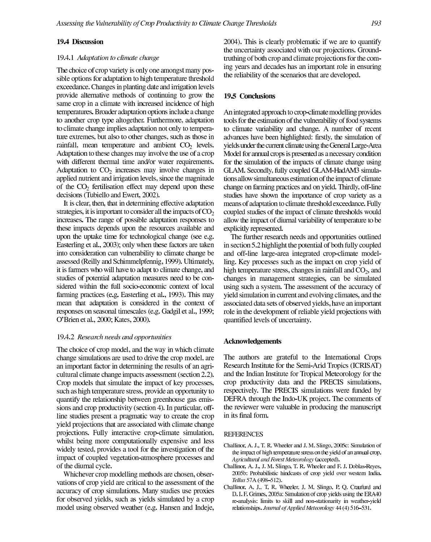## 19.4 Discussion

#### 19.4.1 Adaptation to climate change

The choice of crop variety is only one amongst many possible options for adaptation to high temperature threshold exceedance. Changes in planting date and irrigation levels provide alternative methods of continuing to grow the same crop in a climate with increased incidence of high temperatures. Broader adaptation options include a change to another crop type altogether. Furthermore, adaptation to climate change implies adaptation not only to temperature extremes, but also to other changes, such as those in rainfall, mean temperature and ambient  $CO<sub>2</sub>$  levels. Adaptation to these changes may involve the use of a crop with different thermal time and/or water requirements. Adaptation to  $CO<sub>2</sub>$  increases may involve changes in applied nutrient and irrigation levels, since the magnitude of the  $CO<sub>2</sub>$  fertilisation effect may depend upon these decisions (Tubiello and Ewert, 2002).

It is clear, then, that in determining effective adaptation strategies, it is important to consider all the impacts of  $CO<sub>2</sub>$ increases. The range of possible adaptation responses to these impacts depends upon the resources available and upon the uptake time for technological change (see e.g. Easterling et al., 2003); only when these factors are taken into consideration can vulnerability to climate change be assessed (Reilly and Schimmelpfennig, 1999). Ultimately, it is farmers who will have to adapt to climate change, and studies of potential adaptation measures need to be considered within the full socio-economic context of local farming practices (e.g. Easterling et al., 1993). This may mean that adaptation is considered in the context of responses on seasonal timescales (e.g. Gadgil et al., 1999; O'Brien et al., 2000; Kates, 2000).

#### 19.4.2 Research needs and opportunities

The choice of crop model, and the way in which climate change simulations are used to drive the crop model, are an important factor in determining the results of an agricultural climate change impacts assessment (section 2.2). Crop models that simulate the impact of key processes, such as high temperature stress, provide an opportunity to quantify the relationship between greenhouse gas emissions and crop productivity (section 4). In particular, offline studies present a pragmatic way to create the crop yield projections that are associated with climate change projections. Fully interactive crop-climate simulation, whilst being more computationally expensive and less widely tested, provides a tool for the investigation of the impact of coupled vegetation-atmosphere processes and of the diurnal cycle.

Whichever crop modelling methods are chosen, observations of crop yield are critical to the assessment of the accuracy of crop simulations. Many studies use proxies for observed yields, such as yields simulated by a crop model using observed weather (e.g. Hansen and Indeje, 2004). This is clearly problematic if we are to quantify the uncertainty associated with our projections. Groundtruthing of both crop and climate projections for the coming years and decades has an important role in ensuring the reliability of the scenarios that are developed.

### 19.5 Conclusions

An integrated approach to crop-climate modelling provides tools for the estimation of the vulnerability of food systems to climate variability and change. A number of recent advances have been highlighted: firstly, the simulation of yields under the current climate using the General Large-Area Model for annual crops is presented as a necessary condition for the simulation of the impacts of climate change using GLAM. Secondly, fully coupled GLAM-HadAM3 simulations allow simultaneous estimation of the impact of climate change on farming practices and on yield. Thirdly, off-line studies have shown the importance of crop variety as a means of adaptation to climate threshold exceedance. Fully coupled studies of the impact of climate thresholds would allow the impact of diurnal variability of temperature to be explicitly represented.

The further research needs and opportunities outlined in section 5.2 highlight the potential of both fully coupled and off-line large-area integrated crop-climate modelling. Key processes such as the impact on crop yield of high temperature stress, changes in rainfall and  $CO<sub>2</sub>$ , and changes in management strategies, can be simulated using such a system. The assessment of the accuracy of yield simulation in current and evolving climates, and the associated data sets of observed yields, have an important role in the development of reliable yield projections with quantified levels of uncertainty.

#### **Acknowledgements**

The authors are grateful to the International Crops Research Institute for the Semi-Arid Tropics (ICRISAT) and the Indian Institute for Tropical Meteorology for the crop productivity data and the PRECIS simulations, respectively. The PRECIS simulations were funded by DEFRA through the Indo-UK project. The comments of the reviewer were valuable in producing the manuscript in its final form.

#### **REFERENCES**

- Challinor, A. J., T. R. Wheeler and J. M. Slingo, 2005c: Simulation of the impact of high temperature stress on the yield of an annual crop. Agricultural and Forest Meteorology (accepted).
- Challinor, A. J., J. M. Slingo, T. R. Wheeler and F. J. Doblas-Reyes, 2005b: Probabilistic hindcasts of crop yield over western India. Tellus 57A (498-512).
- Challinor, A. J., T. R. Wheeler, J. M. Slingo, P. Q. Craufurd and D. I. F. Grimes, 2005a: Simulation of crop yields using the ERA40 re-analysis: limits to skill and non-stationarity in weather-yield relationships. Journal of Applied Meteorology 44 (4) 516-531.